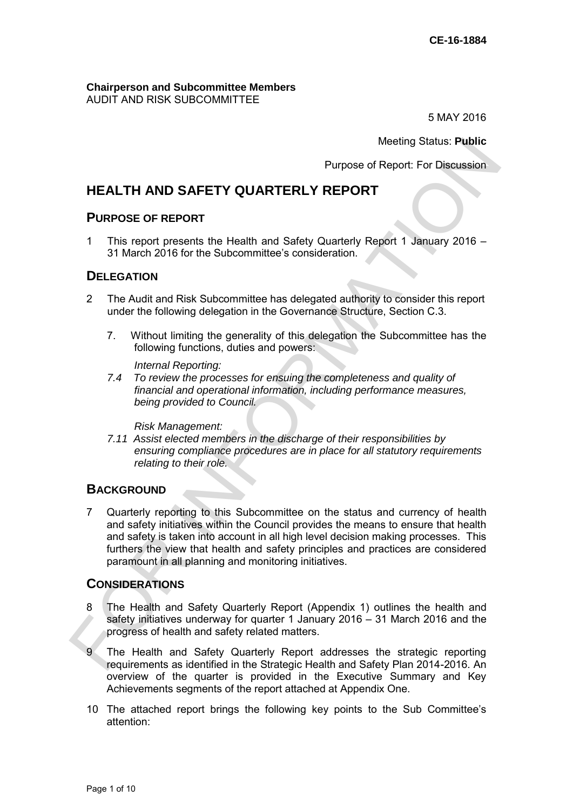#### **Chairperson and Subcommittee Members**  AUDIT AND RISK SUBCOMMITTEE

5 MAY 2016

Meeting Status: **Public**

Purpose of Report: For Discussion

# **HEALTH AND SAFETY QUARTERLY REPORT**

### **PURPOSE OF REPORT**

1 This report presents the Health and Safety Quarterly Report 1 January 2016 – 31 March 2016 for the Subcommittee's consideration.

## **DELEGATION**

- 2 The Audit and Risk Subcommittee has delegated authority to consider this report under the following delegation in the Governance Structure, Section C.3.
	- 7. Without limiting the generality of this delegation the Subcommittee has the following functions, duties and powers:

 *Internal Reporting:* 

*7.4 To review the processes for ensuing the completeness and quality of financial and operational information, including performance measures, being provided to Council.* 

*Risk Management:* 

*7.11 Assist elected members in the discharge of their responsibilities by ensuring compliance procedures are in place for all statutory requirements relating to their role.* 

## **BACKGROUND**

7 Quarterly reporting to this Subcommittee on the status and currency of health and safety initiatives within the Council provides the means to ensure that health and safety is taken into account in all high level decision making processes. This furthers the view that health and safety principles and practices are considered paramount in all planning and monitoring initiatives. Meeting Status: Public<br>
Purpose of Report For Discussion<br>
Purpose of Report For Discussion<br>
1 This report present the Health and Safety Quarterly Report 1 January 2016 -<br>
This report presents the Health and Safety Quarterl

## **CONSIDERATIONS**

- 8 The Health and Safety Quarterly Report (Appendix 1) outlines the health and safety initiatives underway for quarter 1 January 2016 – 31 March 2016 and the progress of health and safety related matters.
- 9 The Health and Safety Quarterly Report addresses the strategic reporting requirements as identified in the Strategic Health and Safety Plan 2014-2016. An overview of the quarter is provided in the Executive Summary and Key Achievements segments of the report attached at Appendix One.
- 10 The attached report brings the following key points to the Sub Committee's attention: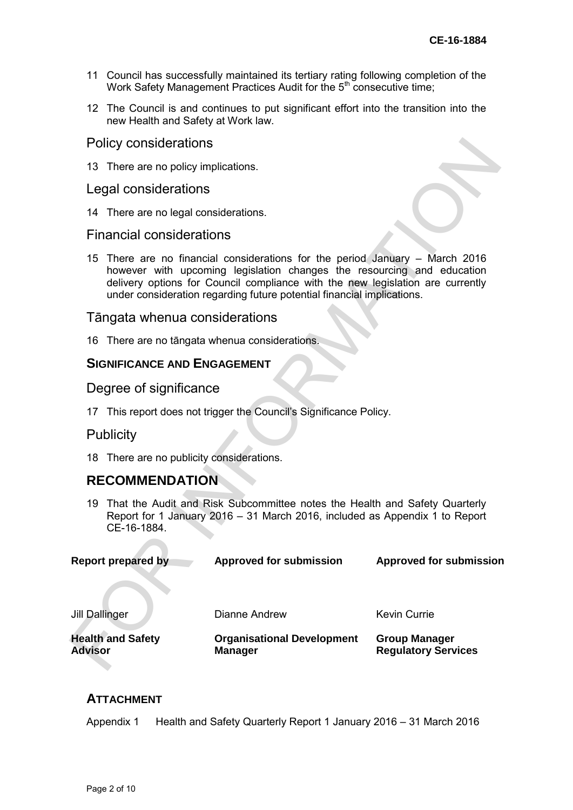- 11 Council has successfully maintained its tertiary rating following completion of the Work Safety Management Practices Audit for the  $5<sup>th</sup>$  consecutive time;
- 12 The Council is and continues to put significant effort into the transition into the new Health and Safety at Work law.

### Policy considerations

### Legal considerations

### Financial considerations

## Tāngata whenua considerations

## **SIGNIFICANCE AND ENGAGEMENT**

### Publicity

# **RECOMMENDATION**

| <b>Advisor</b> |                                                                                                                                                                             | <b>Health and Safety</b>                       | <b>Organisational Development</b><br><b>Manager</b>                                                                                                                                                                                                                                                             | <b>Group Manager</b><br><b>Regulatory Services</b> |  |
|----------------|-----------------------------------------------------------------------------------------------------------------------------------------------------------------------------|------------------------------------------------|-----------------------------------------------------------------------------------------------------------------------------------------------------------------------------------------------------------------------------------------------------------------------------------------------------------------|----------------------------------------------------|--|
|                |                                                                                                                                                                             | <b>Jill Dallinger</b>                          | Dianne Andrew                                                                                                                                                                                                                                                                                                   | <b>Kevin Currie</b>                                |  |
|                |                                                                                                                                                                             | <b>Report prepared by</b>                      | <b>Approved for submission</b>                                                                                                                                                                                                                                                                                  | <b>Approved for submission</b>                     |  |
|                | 19 That the Audit and Risk Subcommittee notes the Health and Safety Quarterly<br>Report for 1 January 2016 – 31 March 2016, included as Appendix 1 to Report<br>CE-16-1884. |                                                |                                                                                                                                                                                                                                                                                                                 |                                                    |  |
|                |                                                                                                                                                                             | <b>RECOMMENDATION</b>                          |                                                                                                                                                                                                                                                                                                                 |                                                    |  |
|                | 18 There are no publicity considerations.                                                                                                                                   |                                                |                                                                                                                                                                                                                                                                                                                 |                                                    |  |
|                | <b>Publicity</b>                                                                                                                                                            |                                                |                                                                                                                                                                                                                                                                                                                 |                                                    |  |
|                | 17 This report does not trigger the Council's Significance Policy.                                                                                                          |                                                |                                                                                                                                                                                                                                                                                                                 |                                                    |  |
|                | Degree of significance                                                                                                                                                      |                                                |                                                                                                                                                                                                                                                                                                                 |                                                    |  |
|                |                                                                                                                                                                             | <b>SIGNIFICANCE AND ENGAGEMENT</b>             |                                                                                                                                                                                                                                                                                                                 |                                                    |  |
|                |                                                                                                                                                                             | 16 There are no tāngata whenua considerations. |                                                                                                                                                                                                                                                                                                                 |                                                    |  |
|                |                                                                                                                                                                             | Tāngata whenua considerations                  |                                                                                                                                                                                                                                                                                                                 |                                                    |  |
|                |                                                                                                                                                                             |                                                |                                                                                                                                                                                                                                                                                                                 |                                                    |  |
|                | 15                                                                                                                                                                          |                                                | There are no financial considerations for the period January – March 2016<br>however with upcoming legislation changes the resourcing and education<br>delivery options for Council compliance with the new legislation are currently<br>under consideration regarding future potential financial implications. |                                                    |  |
|                |                                                                                                                                                                             | <b>Financial considerations</b>                |                                                                                                                                                                                                                                                                                                                 |                                                    |  |
|                |                                                                                                                                                                             | 14 There are no legal considerations.          |                                                                                                                                                                                                                                                                                                                 |                                                    |  |
|                |                                                                                                                                                                             | Legal considerations                           |                                                                                                                                                                                                                                                                                                                 |                                                    |  |
|                |                                                                                                                                                                             | 13 There are no policy implications.           |                                                                                                                                                                                                                                                                                                                 |                                                    |  |
|                |                                                                                                                                                                             | Policy considerations                          |                                                                                                                                                                                                                                                                                                                 |                                                    |  |

## **ATTACHMENT**

Appendix 1 Health and Safety Quarterly Report 1 January 2016 – 31 March 2016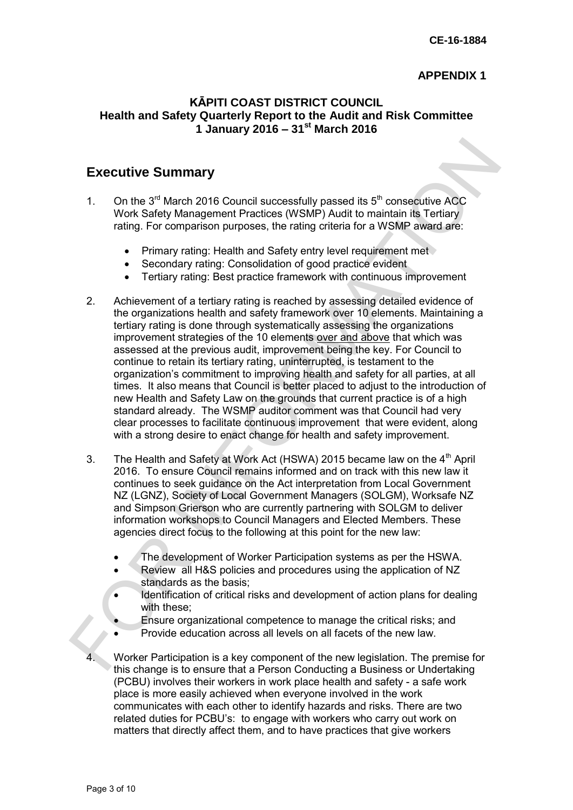## **APPENDIX 1**

## **KĀPITI COAST DISTRICT COUNCIL Health and Safety Quarterly Report to the Audit and Risk Committee 1 January 2016 – 31st March 2016**

# **Executive Summary**

- 1. On the  $3<sup>rd</sup>$  March 2016 Council successfully passed its  $5<sup>th</sup>$  consecutive ACC Work Safety Management Practices (WSMP) Audit to maintain its Tertiary rating. For comparison purposes, the rating criteria for a WSMP award are:
	- Primary rating: Health and Safety entry level requirement met
	- Secondary rating: Consolidation of good practice evident
	- Tertiary rating: Best practice framework with continuous improvement
- 2. Achievement of a tertiary rating is reached by assessing detailed evidence of the organizations health and safety framework over 10 elements. Maintaining a tertiary rating is done through systematically assessing the organizations improvement strategies of the 10 elements over and above that which was assessed at the previous audit, improvement being the key. For Council to continue to retain its tertiary rating, uninterrupted, is testament to the organization's commitment to improving health and safety for all parties, at all times. It also means that Council is better placed to adjust to the introduction of new Health and Safety Law on the grounds that current practice is of a high standard already. The WSMP auditor comment was that Council had very clear processes to facilitate continuous improvement that were evident, along with a strong desire to enact change for health and safety improvement. Executive Summary<br>
1. On the 3<sup>d</sup> March 2016 Council successfully passed its 5<sup>th</sup> consequitive ACC<br>
Work Safety Management Practices (WSMP) Audit to maintain its Tettary<br>
rating. For comparison purposes, the rating crite
	- 3. The Health and Safety at Work Act (HSWA) 2015 became law on the 4<sup>th</sup> April 2016. To ensure Council remains informed and on track with this new law it continues to seek guidance on the Act interpretation from Local Government NZ (LGNZ), Society of Local Government Managers (SOLGM), Worksafe NZ and Simpson Grierson who are currently partnering with SOLGM to deliver information workshops to Council Managers and Elected Members. These agencies direct focus to the following at this point for the new law:
		- The development of Worker Participation systems as per the HSWA.
		- Review all H&S policies and procedures using the application of NZ standards as the basis;
		- Identification of critical risks and development of action plans for dealing with these:
		- Ensure organizational competence to manage the critical risks; and
		- Provide education across all levels on all facets of the new law.
	- 4. Worker Participation is a key component of the new legislation. The premise for this change is to ensure that a Person Conducting a Business or Undertaking (PCBU) involves their workers in work place health and safety - a safe work place is more easily achieved when everyone involved in the work communicates with each other to identify hazards and risks. There are two related duties for PCBU's: to engage with workers who carry out work on matters that directly affect them, and to have practices that give workers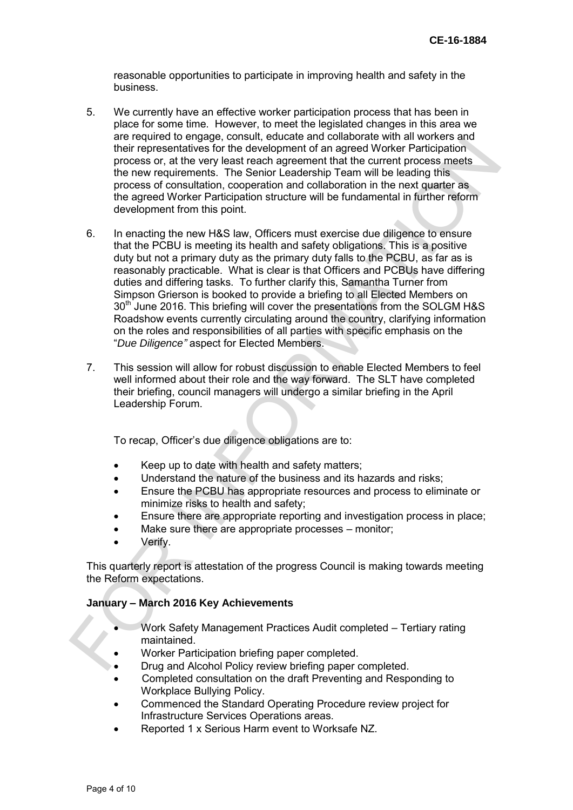reasonable opportunities to participate in improving health and safety in the business.

- 5. We currently have an effective worker participation process that has been in place for some time. However, to meet the legislated changes in this area we are required to engage, consult, educate and collaborate with all workers and their representatives for the development of an agreed Worker Participation process or, at the very least reach agreement that the current process meets the new requirements. The Senior Leadership Team will be leading this process of consultation, cooperation and collaboration in the next quarter as the agreed Worker Participation structure will be fundamental in further reform development from this point.
- 6. In enacting the new H&S law, Officers must exercise due diligence to ensure that the PCBU is meeting its health and safety obligations. This is a positive duty but not a primary duty as the primary duty falls to the PCBU, as far as is reasonably practicable. What is clear is that Officers and PCBUs have differing duties and differing tasks. To further clarify this, Samantha Turner from Simpson Grierson is booked to provide a briefing to all Elected Members on 30<sup>th</sup> June 2016. This briefing will cover the presentations from the SOLGM H&S Roadshow events currently circulating around the country, clarifying information on the roles and responsibilities of all parties with specific emphasis on the "*Due Diligence"* aspect for Elected Members. their representatives for the development of an agreed Worker Participation<br>process or, at the vary least teach agreement that the current process meets<br>the new requirements. The Senior Leadeship Team will be leading this<br>
	- 7. This session will allow for robust discussion to enable Elected Members to feel well informed about their role and the way forward. The SLT have completed their briefing, council managers will undergo a similar briefing in the April Leadership Forum.

To recap, Officer's due diligence obligations are to:

- Keep up to date with health and safety matters;
- Understand the nature of the business and its hazards and risks:
- Ensure the PCBU has appropriate resources and process to eliminate or minimize risks to health and safety;
- **Ensure there are appropriate reporting and investigation process in place;**
- Make sure there are appropriate processes monitor;
- Verify.

This quarterly report is attestation of the progress Council is making towards meeting the Reform expectations.

### **January – March 2016 Key Achievements**

- Work Safety Management Practices Audit completed Tertiary rating maintained.
- Worker Participation briefing paper completed.
- Drug and Alcohol Policy review briefing paper completed.
- Completed consultation on the draft Preventing and Responding to Workplace Bullying Policy.
- Commenced the Standard Operating Procedure review project for Infrastructure Services Operations areas.
- Reported 1 x Serious Harm event to Worksafe NZ.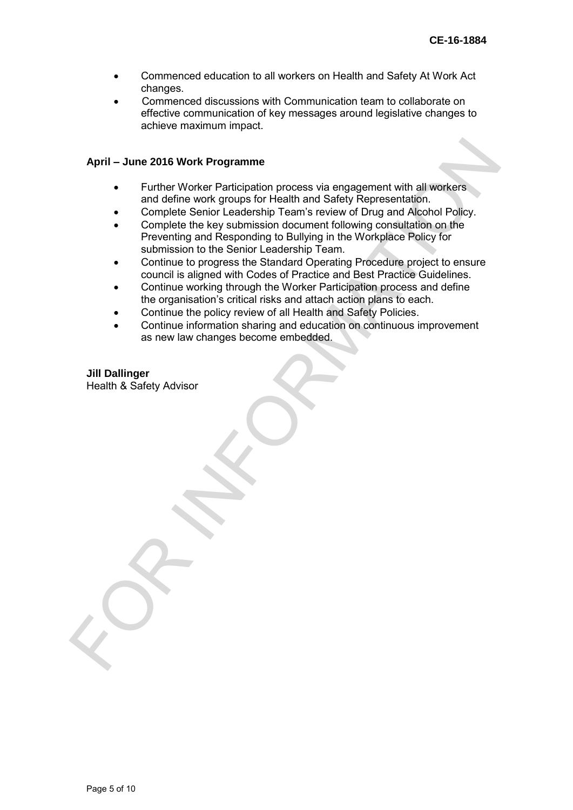- Commenced education to all workers on Health and Safety At Work Act changes.
- Commenced discussions with Communication team to collaborate on effective communication of key messages around legislative changes to achieve maximum impact.

#### **April – June 2016 Work Programme**

- Further Worker Participation process via engagement with all workers and define work groups for Health and Safety Representation.
- Complete Senior Leadership Team's review of Drug and Alcohol Policy.
- Complete the key submission document following consultation on the Preventing and Responding to Bullying in the Workplace Policy for submission to the Senior Leadership Team. April – June 2016 Work Programme<br>
Further Worker Participation process via engagement with all workers<br>
and define work of ourse for Health and Safety Representation.<br>
• Complete the text submission document following cons
	- Continue to progress the Standard Operating Procedure project to ensure council is aligned with Codes of Practice and Best Practice Guidelines.
	- Continue working through the Worker Participation process and define the organisation's critical risks and attach action plans to each.
	- Continue the policy review of all Health and Safety Policies.
	- Continue information sharing and education on continuous improvement as new law changes become embedded.

#### **Jill Dallinger**  Health & Safety Advisor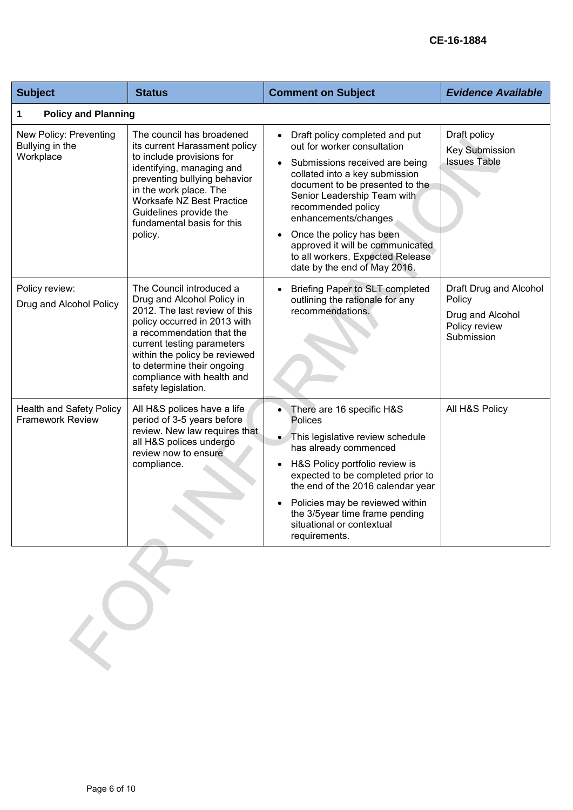## **CE-16-1884**

| <b>Subject</b>                                             | <b>Status</b>                                                                                                                                                                                                                                                                                          | <b>Comment on Subject</b>                                                                                                                                                                                                                                                                                                                                                                          | <b>Evidence Available</b>                                                           |  |
|------------------------------------------------------------|--------------------------------------------------------------------------------------------------------------------------------------------------------------------------------------------------------------------------------------------------------------------------------------------------------|----------------------------------------------------------------------------------------------------------------------------------------------------------------------------------------------------------------------------------------------------------------------------------------------------------------------------------------------------------------------------------------------------|-------------------------------------------------------------------------------------|--|
| 1                                                          | <b>Policy and Planning</b>                                                                                                                                                                                                                                                                             |                                                                                                                                                                                                                                                                                                                                                                                                    |                                                                                     |  |
| New Policy: Preventing<br>Bullying in the<br>Workplace     | The council has broadened<br>its current Harassment policy<br>to include provisions for<br>identifying, managing and<br>preventing bullying behavior<br>in the work place. The<br><b>Worksafe NZ Best Practice</b><br>Guidelines provide the<br>fundamental basis for this<br>policy.                  | Draft policy completed and put<br>$\bullet$<br>out for worker consultation<br>Submissions received are being<br>collated into a key submission<br>document to be presented to the<br>Senior Leadership Team with<br>recommended policy<br>enhancements/changes<br>Once the policy has been<br>approved it will be communicated<br>to all workers. Expected Release<br>date by the end of May 2016. | Draft policy<br><b>Key Submission</b><br><b>Issues Table</b>                        |  |
| Policy review:<br>Drug and Alcohol Policy                  | The Council introduced a<br>Drug and Alcohol Policy in<br>2012. The last review of this<br>policy occurred in 2013 with<br>a recommendation that the<br>current testing parameters<br>within the policy be reviewed<br>to determine their ongoing<br>compliance with health and<br>safety legislation. | Briefing Paper to SLT completed<br>outlining the rationale for any<br>recommendations.                                                                                                                                                                                                                                                                                                             | Draft Drug and Alcohol<br>Policy<br>Drug and Alcohol<br>Policy review<br>Submission |  |
| <b>Health and Safety Policy</b><br><b>Framework Review</b> | All H&S polices have a life<br>period of 3-5 years before<br>review. New law requires that<br>all H&S polices undergo<br>review now to ensure<br>compliance.                                                                                                                                           | There are 16 specific H&S<br><b>Polices</b><br>This legislative review schedule<br>has already commenced<br>H&S Policy portfolio review is<br>expected to be completed prior to<br>the end of the 2016 calendar year<br>Policies may be reviewed within<br>the 3/5year time frame pending<br>situational or contextual<br>requirements.                                                            | All H&S Policy                                                                      |  |
|                                                            |                                                                                                                                                                                                                                                                                                        |                                                                                                                                                                                                                                                                                                                                                                                                    |                                                                                     |  |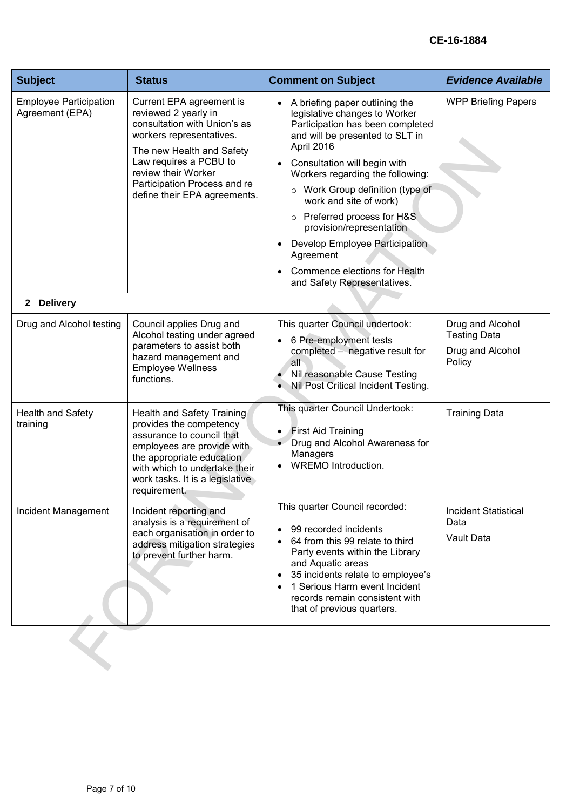| <b>Subject</b>                                   | <b>Status</b>                                                                                                                                                                                                                                              | <b>Comment on Subject</b>                                                                                                                                                                                                                                                                                                                                                                                                                                                 | <b>Evidence Available</b>                                             |
|--------------------------------------------------|------------------------------------------------------------------------------------------------------------------------------------------------------------------------------------------------------------------------------------------------------------|---------------------------------------------------------------------------------------------------------------------------------------------------------------------------------------------------------------------------------------------------------------------------------------------------------------------------------------------------------------------------------------------------------------------------------------------------------------------------|-----------------------------------------------------------------------|
| <b>Employee Participation</b><br>Agreement (EPA) | Current EPA agreement is<br>reviewed 2 yearly in<br>consultation with Union's as<br>workers representatives.<br>The new Health and Safety<br>Law requires a PCBU to<br>review their Worker<br>Participation Process and re<br>define their EPA agreements. | A briefing paper outlining the<br>legislative changes to Worker<br>Participation has been completed<br>and will be presented to SLT in<br>April 2016<br>Consultation will begin with<br>Workers regarding the following:<br>Work Group definition (type of<br>$\circ$<br>work and site of work)<br>o Preferred process for H&S<br>provision/representation<br>Develop Employee Participation<br>Agreement<br>Commence elections for Health<br>and Safety Representatives. | <b>WPP Briefing Papers</b>                                            |
| 2 Delivery                                       |                                                                                                                                                                                                                                                            |                                                                                                                                                                                                                                                                                                                                                                                                                                                                           |                                                                       |
| Drug and Alcohol testing                         | Council applies Drug and<br>Alcohol testing under agreed<br>parameters to assist both<br>hazard management and<br><b>Employee Wellness</b><br>functions.                                                                                                   | This quarter Council undertook:<br>6 Pre-employment tests<br>completed - negative result for<br>all<br>Nil reasonable Cause Testing<br>Nil Post Critical Incident Testing.                                                                                                                                                                                                                                                                                                | Drug and Alcohol<br><b>Testing Data</b><br>Drug and Alcohol<br>Policy |
| <b>Health and Safety</b><br>training             | Health and Safety Training<br>provides the competency<br>assurance to council that<br>employees are provide with<br>the appropriate education<br>with which to undertake their<br>work tasks. It is a legislative<br>requirement.                          | This quarter Council Undertook:<br><b>First Aid Training</b><br>• Drug and Alcohol Awareness for<br>Managers<br><b>WREMO Introduction.</b>                                                                                                                                                                                                                                                                                                                                | <b>Training Data</b>                                                  |
| Incident Management                              | Incident reporting and<br>analysis is a requirement of<br>each organisation in order to<br>address mitigation strategies<br>to prevent further harm.                                                                                                       | This quarter Council recorded:<br>99 recorded incidents<br>64 from this 99 relate to third<br>Party events within the Library<br>and Aquatic areas<br>35 incidents relate to employee's<br>1 Serious Harm event Incident<br>records remain consistent with<br>that of previous quarters.                                                                                                                                                                                  | <b>Incident Statistical</b><br>Data<br>Vault Data                     |
|                                                  |                                                                                                                                                                                                                                                            |                                                                                                                                                                                                                                                                                                                                                                                                                                                                           |                                                                       |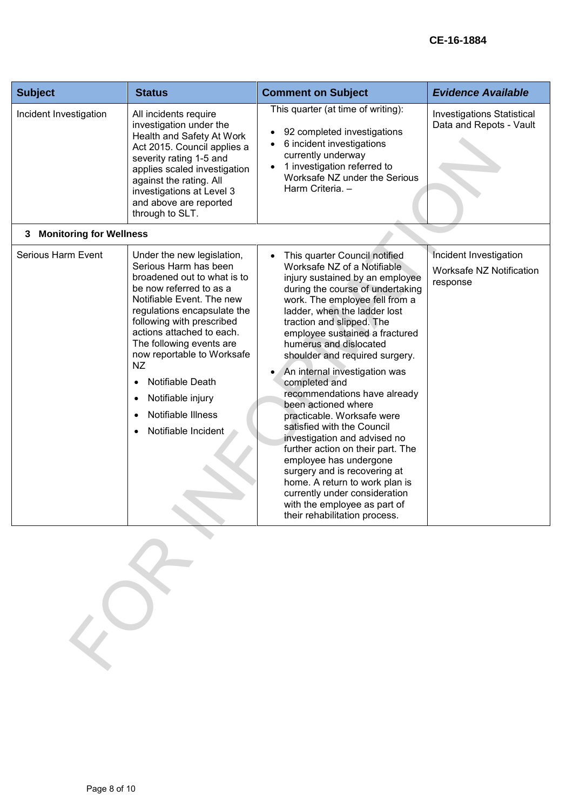| <b>Subject</b>                      | <b>Status</b>                                                                                                                                                                                                                                                                                                                                                                                                            | <b>Comment on Subject</b>                                                                                                                                                                                                                                                                                                                                                                                                                                                                                                                                                                                                                                                                                                                                                | <b>Evidence Available</b>                                      |
|-------------------------------------|--------------------------------------------------------------------------------------------------------------------------------------------------------------------------------------------------------------------------------------------------------------------------------------------------------------------------------------------------------------------------------------------------------------------------|--------------------------------------------------------------------------------------------------------------------------------------------------------------------------------------------------------------------------------------------------------------------------------------------------------------------------------------------------------------------------------------------------------------------------------------------------------------------------------------------------------------------------------------------------------------------------------------------------------------------------------------------------------------------------------------------------------------------------------------------------------------------------|----------------------------------------------------------------|
| Incident Investigation              | All incidents require<br>investigation under the<br>Health and Safety At Work<br>Act 2015. Council applies a<br>severity rating 1-5 and<br>applies scaled investigation<br>against the rating. All<br>investigations at Level 3<br>and above are reported<br>through to SLT.                                                                                                                                             | This quarter (at time of writing):<br>92 completed investigations<br>6 incident investigations<br>currently underway<br>1 investigation referred to<br>Worksafe NZ under the Serious<br>Harm Criteria. -                                                                                                                                                                                                                                                                                                                                                                                                                                                                                                                                                                 | <b>Investigations Statistical</b><br>Data and Repots - Vault   |
| <b>Monitoring for Wellness</b><br>3 |                                                                                                                                                                                                                                                                                                                                                                                                                          |                                                                                                                                                                                                                                                                                                                                                                                                                                                                                                                                                                                                                                                                                                                                                                          |                                                                |
| Serious Harm Event                  | Under the new legislation,<br>Serious Harm has been<br>broadened out to what is to<br>be now referred to as a<br>Notifiable Event. The new<br>regulations encapsulate the<br>following with prescribed<br>actions attached to each.<br>The following events are<br>now reportable to Worksafe<br>NZ<br>Notifiable Death<br>$\bullet$<br>Notifiable injury<br>٠<br>Notifiable Illness<br>Notifiable Incident<br>$\bullet$ | This quarter Council notified<br>Worksafe NZ of a Notifiable<br>injury sustained by an employee<br>during the course of undertaking<br>work. The employee fell from a<br>ladder, when the ladder lost<br>traction and slipped. The<br>employee sustained a fractured<br>humerus and dislocated<br>shoulder and required surgery.<br>An internal investigation was<br>completed and<br>recommendations have already<br>been actioned where<br>practicable. Worksafe were<br>satisfied with the Council<br>investigation and advised no<br>further action on their part. The<br>employee has undergone<br>surgery and is recovering at<br>home. A return to work plan is<br>currently under consideration<br>with the employee as part of<br>their rehabilitation process. | Incident Investigation<br>Worksafe NZ Notification<br>response |
|                                     |                                                                                                                                                                                                                                                                                                                                                                                                                          |                                                                                                                                                                                                                                                                                                                                                                                                                                                                                                                                                                                                                                                                                                                                                                          |                                                                |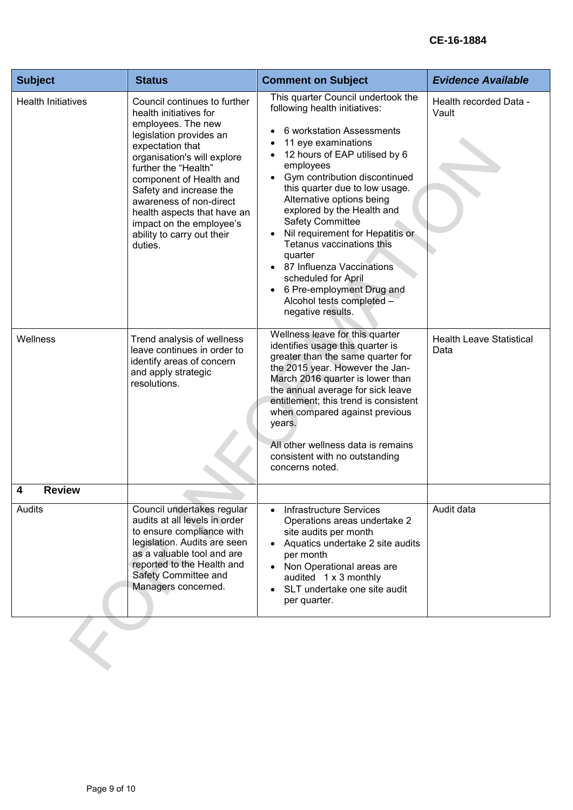| <b>Subject</b>            | <b>Status</b>                                                                                                                                                                                                                                                                                                                                                           | <b>Comment on Subject</b>                                                                                                                                                                                                                                                                                                                                                                                                                                                                                                                                  | <b>Evidence Available</b>               |
|---------------------------|-------------------------------------------------------------------------------------------------------------------------------------------------------------------------------------------------------------------------------------------------------------------------------------------------------------------------------------------------------------------------|------------------------------------------------------------------------------------------------------------------------------------------------------------------------------------------------------------------------------------------------------------------------------------------------------------------------------------------------------------------------------------------------------------------------------------------------------------------------------------------------------------------------------------------------------------|-----------------------------------------|
| <b>Health Initiatives</b> | Council continues to further<br>health initiatives for<br>employees. The new<br>legislation provides an<br>expectation that<br>organisation's will explore<br>further the "Health"<br>component of Health and<br>Safety and increase the<br>awareness of non-direct<br>health aspects that have an<br>impact on the employee's<br>ability to carry out their<br>duties. | This quarter Council undertook the<br>following health initiatives:<br>6 workstation Assessments<br>11 eye examinations<br>12 hours of EAP utilised by 6<br>employees<br>Gym contribution discontinued<br>$\bullet$<br>this quarter due to low usage.<br>Alternative options being<br>explored by the Health and<br><b>Safety Committee</b><br>Nil requirement for Hepatitis or<br>Tetanus vaccinations this<br>quarter<br>87 Influenza Vaccinations<br>scheduled for April<br>6 Pre-employment Drug and<br>Alcohol tests completed -<br>negative results. | Health recorded Data -<br>Vault         |
| Wellness                  | Trend analysis of wellness<br>leave continues in order to<br>identify areas of concern<br>and apply strategic<br>resolutions.                                                                                                                                                                                                                                           | Wellness leave for this quarter<br>identifies usage this quarter is<br>greater than the same quarter for<br>the 2015 year. However the Jan-<br>March 2016 quarter is lower than<br>the annual average for sick leave<br>entitlement; this trend is consistent<br>when compared against previous<br>years.<br>All other wellness data is remains<br>consistent with no outstanding<br>concerns noted.                                                                                                                                                       | <b>Health Leave Statistical</b><br>Data |
| <b>Review</b><br>4        |                                                                                                                                                                                                                                                                                                                                                                         |                                                                                                                                                                                                                                                                                                                                                                                                                                                                                                                                                            |                                         |
| Audits                    | Council undertakes regular<br>audits at all levels in order<br>to ensure compliance with<br>legislation. Audits are seen<br>as a valuable tool and are<br>reported to the Health and<br>Safety Committee and<br>Managers concerned.                                                                                                                                     | <b>Infrastructure Services</b><br>Operations areas undertake 2<br>site audits per month<br>Aquatics undertake 2 site audits<br>per month<br>Non Operational areas are<br>audited 1 x 3 monthly<br>SLT undertake one site audit<br>per quarter.                                                                                                                                                                                                                                                                                                             | Audit data                              |
|                           |                                                                                                                                                                                                                                                                                                                                                                         |                                                                                                                                                                                                                                                                                                                                                                                                                                                                                                                                                            |                                         |